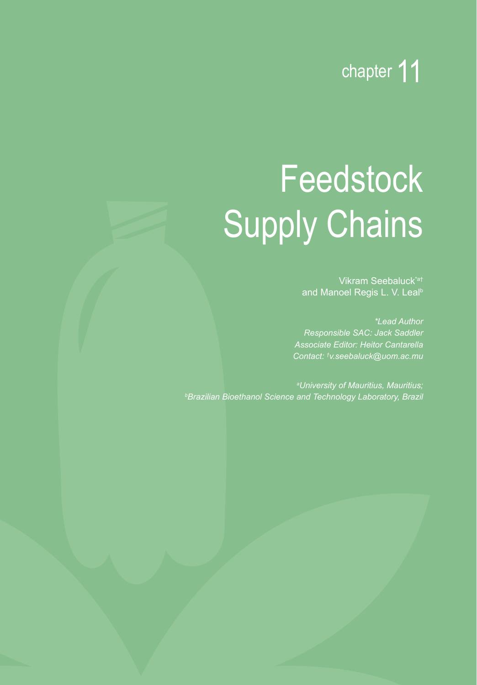

# **Feedstock** Supply Chains

Vikram Seebaluck\*a† and Manoel Regis L. V. Leal<sup>b</sup>

*\*Lead Author Responsible SAC: Jack Saddler Associate Editor: Heitor Cantarella Contact: † v.seebaluck@uom.ac.mu*

*a University of Mauritius, Mauritius; b Brazilian Bioethanol Science and Technology Laboratory, Brazil*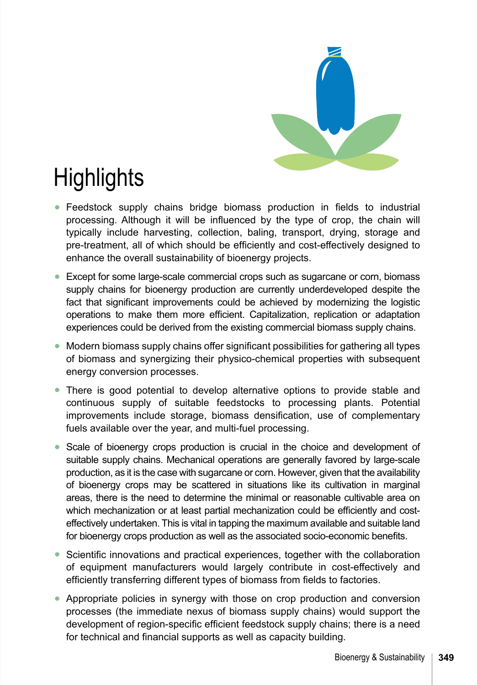

# **Highlights**

- **●** Feedstock supply chains bridge biomass production in fields to industrial processing. Although it will be influenced by the type of crop, the chain will typically include harvesting, collection, baling, transport, drying, storage and pre-treatment, all of which should be efficiently and cost-effectively designed to enhance the overall sustainability of bioenergy projects.
- **●** Except for some large-scale commercial crops such as sugarcane or corn, biomass supply chains for bioenergy production are currently underdeveloped despite the fact that significant improvements could be achieved by modernizing the logistic operations to make them more efficient. Capitalization, replication or adaptation experiences could be derived from the existing commercial biomass supply chains.
- **●** Modern biomass supply chains offer significant possibilities for gathering all types of biomass and synergizing their physico-chemical properties with subsequent energy conversion processes.
- **●** There is good potential to develop alternative options to provide stable and continuous supply of suitable feedstocks to processing plants. Potential improvements include storage, biomass densification, use of complementary fuels available over the year, and multi-fuel processing.
- **●** Scale of bioenergy crops production is crucial in the choice and development of suitable supply chains. Mechanical operations are generally favored by large-scale production, as it is the case with sugarcane or corn. However, given that the availability of bioenergy crops may be scattered in situations like its cultivation in marginal areas, there is the need to determine the minimal or reasonable cultivable area on which mechanization or at least partial mechanization could be efficiently and costeffectively undertaken. This is vital in tapping the maximum available and suitable land for bioenergy crops production as well as the associated socio-economic benefits.
- **●** Scientific innovations and practical experiences, together with the collaboration of equipment manufacturers would largely contribute in cost-effectively and efficiently transferring different types of biomass from fields to factories.
- **●** Appropriate policies in synergy with those on crop production and conversion processes (the immediate nexus of biomass supply chains) would support the development of region-specific efficient feedstock supply chains; there is a need for technical and financial supports as well as capacity building.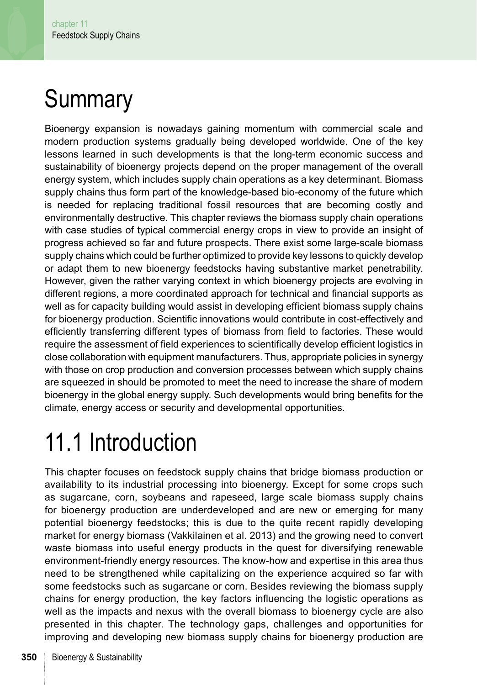# **Summary**

Bioenergy expansion is nowadays gaining momentum with commercial scale and modern production systems gradually being developed worldwide. One of the key lessons learned in such developments is that the long-term economic success and sustainability of bioenergy projects depend on the proper management of the overall energy system, which includes supply chain operations as a key determinant. Biomass supply chains thus form part of the knowledge-based bio-economy of the future which is needed for replacing traditional fossil resources that are becoming costly and environmentally destructive. This chapter reviews the biomass supply chain operations with case studies of typical commercial energy crops in view to provide an insight of progress achieved so far and future prospects. There exist some large-scale biomass supply chains which could be further optimized to provide key lessons to quickly develop or adapt them to new bioenergy feedstocks having substantive market penetrability. However, given the rather varying context in which bioenergy projects are evolving in different regions, a more coordinated approach for technical and financial supports as well as for capacity building would assist in developing efficient biomass supply chains for bioenergy production. Scientific innovations would contribute in cost-effectively and efficiently transferring different types of biomass from field to factories. These would require the assessment of field experiences to scientifically develop efficient logistics in close collaboration with equipment manufacturers. Thus, appropriate policies in synergy with those on crop production and conversion processes between which supply chains are squeezed in should be promoted to meet the need to increase the share of modern bioenergy in the global energy supply. Such developments would bring benefits for the climate, energy access or security and developmental opportunities.

# 11.1 Introduction

This chapter focuses on feedstock supply chains that bridge biomass production or availability to its industrial processing into bioenergy. Except for some crops such as sugarcane, corn, soybeans and rapeseed, large scale biomass supply chains for bioenergy production are underdeveloped and are new or emerging for many potential bioenergy feedstocks; this is due to the quite recent rapidly developing market for energy biomass (Vakkilainen et al. 2013) and the growing need to convert waste biomass into useful energy products in the quest for diversifying renewable environment-friendly energy resources. The know-how and expertise in this area thus need to be strengthened while capitalizing on the experience acquired so far with some feedstocks such as sugarcane or corn. Besides reviewing the biomass supply chains for energy production, the key factors influencing the logistic operations as well as the impacts and nexus with the overall biomass to bioenergy cycle are also presented in this chapter. The technology gaps, challenges and opportunities for improving and developing new biomass supply chains for bioenergy production are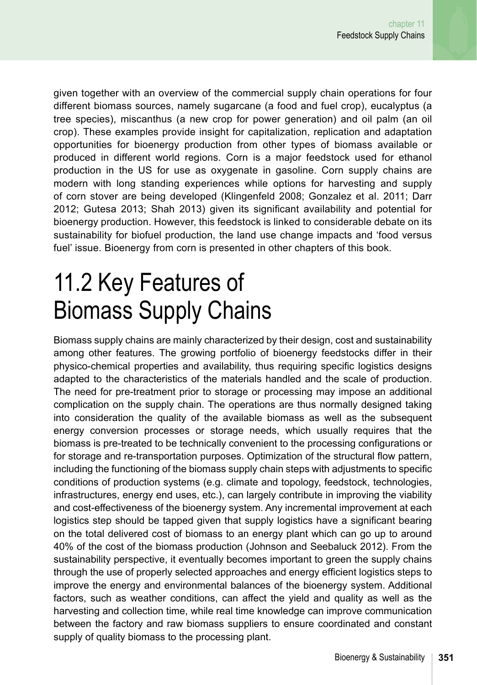given together with an overview of the commercial supply chain operations for four different biomass sources, namely sugarcane (a food and fuel crop), eucalyptus (a tree species), miscanthus (a new crop for power generation) and oil palm (an oil crop). These examples provide insight for capitalization, replication and adaptation opportunities for bioenergy production from other types of biomass available or produced in different world regions. Corn is a major feedstock used for ethanol production in the US for use as oxygenate in gasoline. Corn supply chains are modern with long standing experiences while options for harvesting and supply of corn stover are being developed (Klingenfeld 2008; Gonzalez et al. 2011; Darr 2012; Gutesa 2013; Shah 2013) given its significant availability and potential for bioenergy production. However, this feedstock is linked to considerable debate on its sustainability for biofuel production, the land use change impacts and 'food versus fuel' issue. Bioenergy from corn is presented in other chapters of this book.

## 11.2 Key Features of Biomass Supply Chains

Biomass supply chains are mainly characterized by their design, cost and sustainability among other features. The growing portfolio of bioenergy feedstocks differ in their physico-chemical properties and availability, thus requiring specific logistics designs adapted to the characteristics of the materials handled and the scale of production. The need for pre-treatment prior to storage or processing may impose an additional complication on the supply chain. The operations are thus normally designed taking into consideration the quality of the available biomass as well as the subsequent energy conversion processes or storage needs, which usually requires that the biomass is pre-treated to be technically convenient to the processing configurations or for storage and re-transportation purposes. Optimization of the structural flow pattern, including the functioning of the biomass supply chain steps with adjustments to specific conditions of production systems (e.g. climate and topology, feedstock, technologies, infrastructures, energy end uses, etc.), can largely contribute in improving the viability and cost-effectiveness of the bioenergy system. Any incremental improvement at each logistics step should be tapped given that supply logistics have a significant bearing on the total delivered cost of biomass to an energy plant which can go up to around 40% of the cost of the biomass production (Johnson and Seebaluck 2012). From the sustainability perspective, it eventually becomes important to green the supply chains through the use of properly selected approaches and energy efficient logistics steps to improve the energy and environmental balances of the bioenergy system. Additional factors, such as weather conditions, can affect the yield and quality as well as the harvesting and collection time, while real time knowledge can improve communication between the factory and raw biomass suppliers to ensure coordinated and constant supply of quality biomass to the processing plant.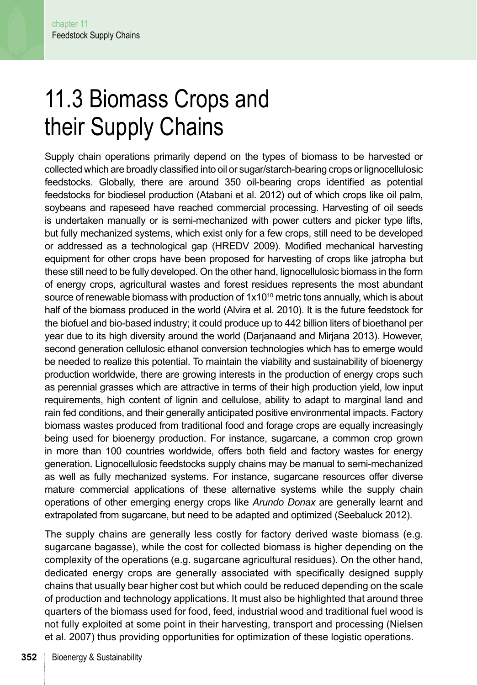# 11.3 Biomass Crops and their Supply Chains

Supply chain operations primarily depend on the types of biomass to be harvested or collected which are broadly classified into oil or sugar/starch-bearing crops or lignocellulosic feedstocks. Globally, there are around 350 oil-bearing crops identified as potential feedstocks for biodiesel production (Atabani et al. 2012) out of which crops like oil palm, soybeans and rapeseed have reached commercial processing. Harvesting of oil seeds is undertaken manually or is semi-mechanized with power cutters and picker type lifts, but fully mechanized systems, which exist only for a few crops, still need to be developed or addressed as a technological gap (HREDV 2009). Modified mechanical harvesting equipment for other crops have been proposed for harvesting of crops like jatropha but these still need to be fully developed. On the other hand, lignocellulosic biomass in the form of energy crops, agricultural wastes and forest residues represents the most abundant source of renewable biomass with production of  $1x10^{10}$  metric tons annually, which is about half of the biomass produced in the world (Alvira et al. 2010). It is the future feedstock for the biofuel and bio-based industry; it could produce up to 442 billion liters of bioethanol per year due to its high diversity around the world (Darjanaand and Mirjana 2013). However, second generation cellulosic ethanol conversion technologies which has to emerge would be needed to realize this potential. To maintain the viability and sustainability of bioenergy production worldwide, there are growing interests in the production of energy crops such as perennial grasses which are attractive in terms of their high production yield, low input requirements, high content of lignin and cellulose, ability to adapt to marginal land and rain fed conditions, and their generally anticipated positive environmental impacts. Factory biomass wastes produced from traditional food and forage crops are equally increasingly being used for bioenergy production. For instance, sugarcane, a common crop grown in more than 100 countries worldwide, offers both field and factory wastes for energy generation. Lignocellulosic feedstocks supply chains may be manual to semi-mechanized as well as fully mechanized systems. For instance, sugarcane resources offer diverse mature commercial applications of these alternative systems while the supply chain operations of other emerging energy crops like *Arundo Donax* are generally learnt and extrapolated from sugarcane, but need to be adapted and optimized (Seebaluck 2012).

The supply chains are generally less costly for factory derived waste biomass (e.g. sugarcane bagasse), while the cost for collected biomass is higher depending on the complexity of the operations (e.g. sugarcane agricultural residues). On the other hand, dedicated energy crops are generally associated with specifically designed supply chains that usually bear higher cost but which could be reduced depending on the scale of production and technology applications. It must also be highlighted that around three quarters of the biomass used for food, feed, industrial wood and traditional fuel wood is not fully exploited at some point in their harvesting, transport and processing (Nielsen et al. 2007) thus providing opportunities for optimization of these logistic operations.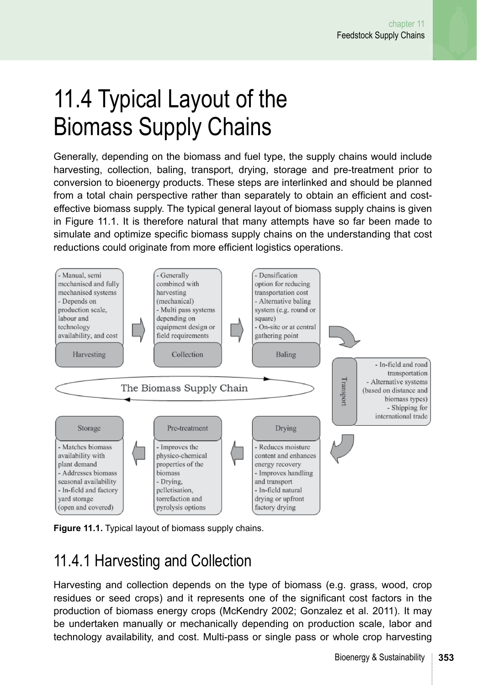# 11.4 Typical Layout of the Biomass Supply Chains

Generally, depending on the biomass and fuel type, the supply chains would include harvesting, collection, baling, transport, drying, storage and pre-treatment prior to conversion to bioenergy products. These steps are interlinked and should be planned from a total chain perspective rather than separately to obtain an efficient and costeffective biomass supply. The typical general layout of biomass supply chains is given in Figure 11.1. It is therefore natural that many attempts have so far been made to simulate and optimize specific biomass supply chains on the understanding that cost reductions could originate from more efficient logistics operations.



**Figure 11.1.** Typical layout of biomass supply chains.

#### 11.4.1 Harvesting and Collection

Harvesting and collection depends on the type of biomass (e.g. grass, wood, crop residues or seed crops) and it represents one of the significant cost factors in the production of biomass energy crops (McKendry 2002; Gonzalez et al. 2011). It may be undertaken manually or mechanically depending on production scale, labor and technology availability, and cost. Multi-pass or single pass or whole crop harvesting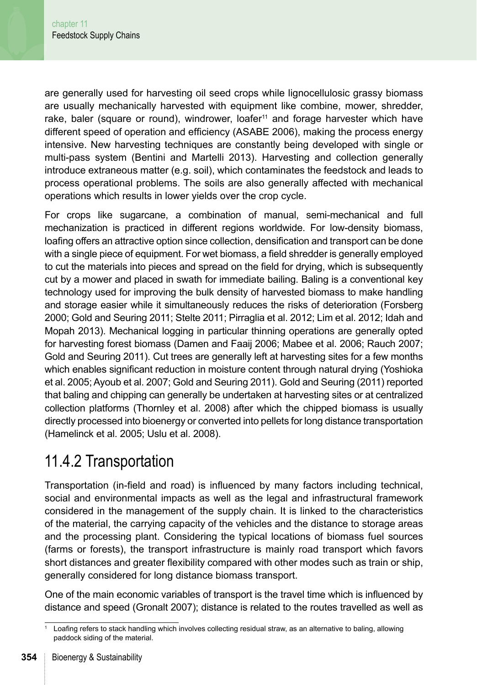are generally used for harvesting oil seed crops while lignocellulosic grassy biomass are usually mechanically harvested with equipment like combine, mower, shredder, rake, baler (square or round), windrower, loafer $11$  and forage harvester which have different speed of operation and efficiency (ASABE 2006), making the process energy intensive. New harvesting techniques are constantly being developed with single or multi-pass system (Bentini and Martelli 2013). Harvesting and collection generally introduce extraneous matter (e.g. soil), which contaminates the feedstock and leads to process operational problems. The soils are also generally affected with mechanical operations which results in lower yields over the crop cycle.

For crops like sugarcane, a combination of manual, semi-mechanical and full mechanization is practiced in different regions worldwide. For low-density biomass, loafing offers an attractive option since collection, densification and transport can be done with a single piece of equipment. For wet biomass, a field shredder is generally employed to cut the materials into pieces and spread on the field for drying, which is subsequently cut by a mower and placed in swath for immediate bailing. Baling is a conventional key technology used for improving the bulk density of harvested biomass to make handling and storage easier while it simultaneously reduces the risks of deterioration (Forsberg 2000; Gold and Seuring 2011; Stelte 2011; Pirraglia et al. 2012; Lim et al. 2012; Idah and Mopah 2013). Mechanical logging in particular thinning operations are generally opted for harvesting forest biomass (Damen and Faaij 2006; Mabee et al. 2006; Rauch 2007; Gold and Seuring 2011). Cut trees are generally left at harvesting sites for a few months which enables significant reduction in moisture content through natural drying (Yoshioka et al. 2005; Ayoub et al. 2007; Gold and Seuring 2011). Gold and Seuring (2011) reported that baling and chipping can generally be undertaken at harvesting sites or at centralized collection platforms (Thornley et al. 2008) after which the chipped biomass is usually directly processed into bioenergy or converted into pellets for long distance transportation (Hamelinck et al. 2005; Uslu et al. 2008).

### 11.4.2 Transportation

Transportation (in-field and road) is influenced by many factors including technical, social and environmental impacts as well as the legal and infrastructural framework considered in the management of the supply chain. It is linked to the characteristics of the material, the carrying capacity of the vehicles and the distance to storage areas and the processing plant. Considering the typical locations of biomass fuel sources (farms or forests), the transport infrastructure is mainly road transport which favors short distances and greater flexibility compared with other modes such as train or ship, generally considered for long distance biomass transport.

One of the main economic variables of transport is the travel time which is influenced by distance and speed (Gronalt 2007); distance is related to the routes travelled as well as

Loafing refers to stack handling which involves collecting residual straw, as an alternative to baling, allowing paddock siding of the material.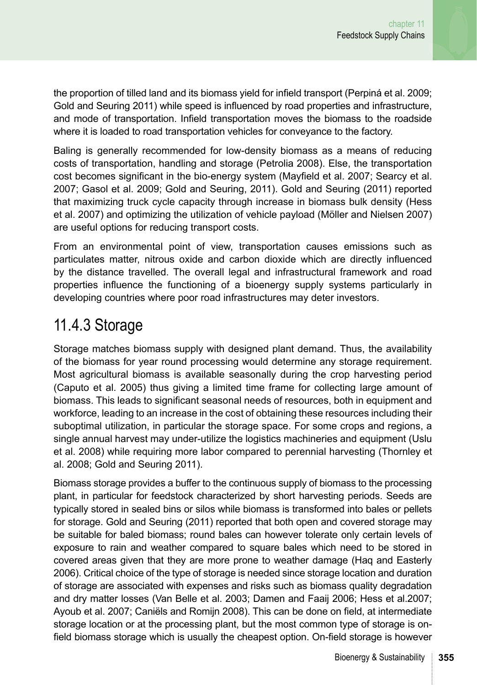the proportion of tilled land and its biomass yield for infield transport (Perpiná et al. 2009; Gold and Seuring 2011) while speed is influenced by road properties and infrastructure, and mode of transportation. Infield transportation moves the biomass to the roadside where it is loaded to road transportation vehicles for conveyance to the factory.

Baling is generally recommended for low-density biomass as a means of reducing costs of transportation, handling and storage (Petrolia 2008). Else, the transportation cost becomes significant in the bio-energy system (Mayfield et al. 2007; Searcy et al. 2007; Gasol et al. 2009; Gold and Seuring, 2011). Gold and Seuring (2011) reported that maximizing truck cycle capacity through increase in biomass bulk density (Hess et al. 2007) and optimizing the utilization of vehicle payload (Möller and Nielsen 2007) are useful options for reducing transport costs.

From an environmental point of view, transportation causes emissions such as particulates matter, nitrous oxide and carbon dioxide which are directly influenced by the distance travelled. The overall legal and infrastructural framework and road properties influence the functioning of a bioenergy supply systems particularly in developing countries where poor road infrastructures may deter investors.

### 11.4.3 Storage

Storage matches biomass supply with designed plant demand. Thus, the availability of the biomass for year round processing would determine any storage requirement. Most agricultural biomass is available seasonally during the crop harvesting period (Caputo et al. 2005) thus giving a limited time frame for collecting large amount of biomass. This leads to significant seasonal needs of resources, both in equipment and workforce, leading to an increase in the cost of obtaining these resources including their suboptimal utilization, in particular the storage space. For some crops and regions, a single annual harvest may under-utilize the logistics machineries and equipment (Uslu et al. 2008) while requiring more labor compared to perennial harvesting (Thornley et al. 2008; Gold and Seuring 2011).

Biomass storage provides a buffer to the continuous supply of biomass to the processing plant, in particular for feedstock characterized by short harvesting periods. Seeds are typically stored in sealed bins or silos while biomass is transformed into bales or pellets for storage. Gold and Seuring (2011) reported that both open and covered storage may be suitable for baled biomass; round bales can however tolerate only certain levels of exposure to rain and weather compared to square bales which need to be stored in covered areas given that they are more prone to weather damage (Haq and Easterly 2006). Critical choice of the type of storage is needed since storage location and duration of storage are associated with expenses and risks such as biomass quality degradation and dry matter losses (Van Belle et al. 2003; Damen and Faaij 2006; Hess et al.2007; Ayoub et al. 2007; Caniëls and Romijn 2008). This can be done on field, at intermediate storage location or at the processing plant, but the most common type of storage is onfield biomass storage which is usually the cheapest option. On-field storage is however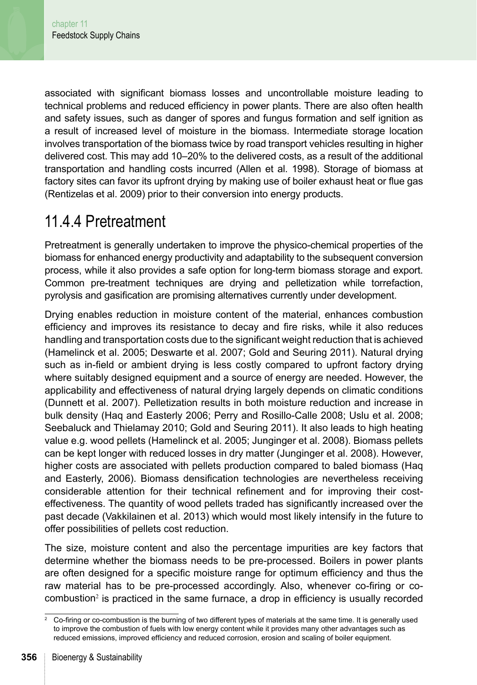associated with significant biomass losses and uncontrollable moisture leading to technical problems and reduced efficiency in power plants. There are also often health and safety issues, such as danger of spores and fungus formation and self ignition as a result of increased level of moisture in the biomass. Intermediate storage location involves transportation of the biomass twice by road transport vehicles resulting in higher delivered cost. This may add 10–20% to the delivered costs, as a result of the additional transportation and handling costs incurred (Allen et al. 1998). Storage of biomass at factory sites can favor its upfront drying by making use of boiler exhaust heat or flue gas (Rentizelas et al. 2009) prior to their conversion into energy products.

#### 11.4.4 Pretreatment

Pretreatment is generally undertaken to improve the physico-chemical properties of the biomass for enhanced energy productivity and adaptability to the subsequent conversion process, while it also provides a safe option for long-term biomass storage and export. Common pre-treatment techniques are drying and pelletization while torrefaction, pyrolysis and gasification are promising alternatives currently under development.

Drying enables reduction in moisture content of the material, enhances combustion efficiency and improves its resistance to decay and fire risks, while it also reduces handling and transportation costs due to the significant weight reduction that is achieved (Hamelinck et al. 2005; Deswarte et al. 2007; Gold and Seuring 2011). Natural drying such as in-field or ambient drying is less costly compared to upfront factory drying where suitably designed equipment and a source of energy are needed. However, the applicability and effectiveness of natural drying largely depends on climatic conditions (Dunnett et al. 2007). Pelletization results in both moisture reduction and increase in bulk density (Haq and Easterly 2006; Perry and Rosillo-Calle 2008; Uslu et al. 2008; Seebaluck and Thielamay 2010; Gold and Seuring 2011). It also leads to high heating value e.g. wood pellets (Hamelinck et al. 2005; Junginger et al. 2008). Biomass pellets can be kept longer with reduced losses in dry matter (Junginger et al. 2008). However, higher costs are associated with pellets production compared to baled biomass (Haq and Easterly, 2006). Biomass densification technologies are nevertheless receiving considerable attention for their technical refinement and for improving their costeffectiveness. The quantity of wood pellets traded has significantly increased over the past decade (Vakkilainen et al. 2013) which would most likely intensify in the future to offer possibilities of pellets cost reduction.

The size, moisture content and also the percentage impurities are key factors that determine whether the biomass needs to be pre-processed. Boilers in power plants are often designed for a specific moisture range for optimum efficiency and thus the raw material has to be pre-processed accordingly. Also, whenever co-firing or cocombustion<sup>2</sup> is practiced in the same furnace, a drop in efficiency is usually recorded

<sup>2</sup> Co-firing or co-combustion is the burning of two different types of materials at the same time. It is generally used to improve the combustion of fuels with low energy content while it provides many other advantages such as reduced emissions, improved efficiency and reduced corrosion, erosion and scaling of boiler equipment.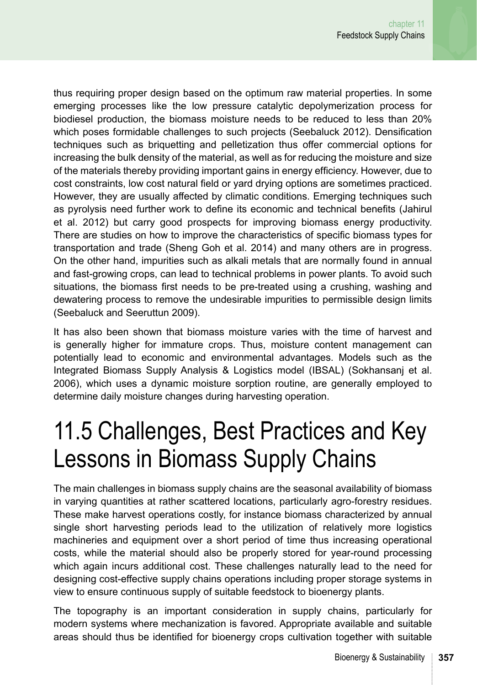thus requiring proper design based on the optimum raw material properties. In some emerging processes like the low pressure catalytic depolymerization process for biodiesel production, the biomass moisture needs to be reduced to less than 20% which poses formidable challenges to such projects (Seebaluck 2012). Densification techniques such as briquetting and pelletization thus offer commercial options for increasing the bulk density of the material, as well as for reducing the moisture and size of the materials thereby providing important gains in energy efficiency. However, due to cost constraints, low cost natural field or yard drying options are sometimes practiced. However, they are usually affected by climatic conditions. Emerging techniques such as pyrolysis need further work to define its economic and technical benefits (Jahirul et al. 2012) but carry good prospects for improving biomass energy productivity. There are studies on how to improve the characteristics of specific biomass types for transportation and trade (Sheng Goh et al. 2014) and many others are in progress. On the other hand, impurities such as alkali metals that are normally found in annual and fast-growing crops, can lead to technical problems in power plants. To avoid such situations, the biomass first needs to be pre-treated using a crushing, washing and dewatering process to remove the undesirable impurities to permissible design limits (Seebaluck and Seeruttun 2009).

It has also been shown that biomass moisture varies with the time of harvest and is generally higher for immature crops. Thus, moisture content management can potentially lead to economic and environmental advantages. Models such as the Integrated Biomass Supply Analysis & Logistics model (IBSAL) (Sokhansanj et al. 2006), which uses a dynamic moisture sorption routine, are generally employed to determine daily moisture changes during harvesting operation.

### 11.5 Challenges, Best Practices and Key Lessons in Biomass Supply Chains

The main challenges in biomass supply chains are the seasonal availability of biomass in varying quantities at rather scattered locations, particularly agro-forestry residues. These make harvest operations costly, for instance biomass characterized by annual single short harvesting periods lead to the utilization of relatively more logistics machineries and equipment over a short period of time thus increasing operational costs, while the material should also be properly stored for year-round processing which again incurs additional cost. These challenges naturally lead to the need for designing cost-effective supply chains operations including proper storage systems in view to ensure continuous supply of suitable feedstock to bioenergy plants.

The topography is an important consideration in supply chains, particularly for modern systems where mechanization is favored. Appropriate available and suitable areas should thus be identified for bioenergy crops cultivation together with suitable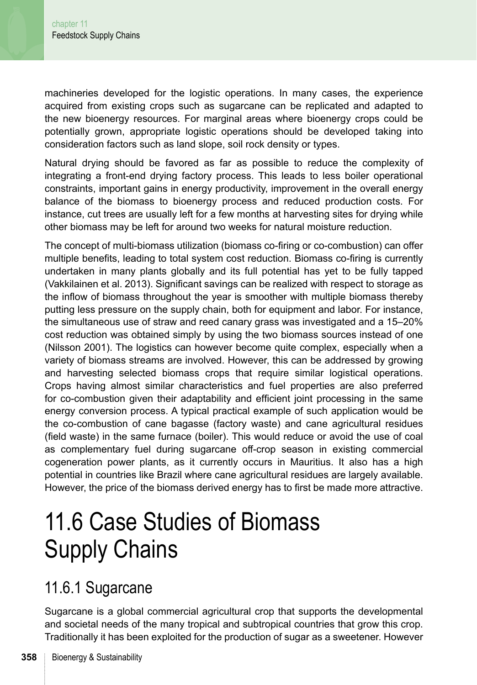machineries developed for the logistic operations. In many cases, the experience acquired from existing crops such as sugarcane can be replicated and adapted to the new bioenergy resources. For marginal areas where bioenergy crops could be potentially grown, appropriate logistic operations should be developed taking into consideration factors such as land slope, soil rock density or types.

Natural drying should be favored as far as possible to reduce the complexity of integrating a front-end drying factory process. This leads to less boiler operational constraints, important gains in energy productivity, improvement in the overall energy balance of the biomass to bioenergy process and reduced production costs. For instance, cut trees are usually left for a few months at harvesting sites for drying while other biomass may be left for around two weeks for natural moisture reduction.

The concept of multi-biomass utilization (biomass co-firing or co-combustion) can offer multiple benefits, leading to total system cost reduction. Biomass co-firing is currently undertaken in many plants globally and its full potential has yet to be fully tapped (Vakkilainen et al. 2013). Significant savings can be realized with respect to storage as the inflow of biomass throughout the year is smoother with multiple biomass thereby putting less pressure on the supply chain, both for equipment and labor. For instance, the simultaneous use of straw and reed canary grass was investigated and a 15–20% cost reduction was obtained simply by using the two biomass sources instead of one (Nilsson 2001). The logistics can however become quite complex, especially when a variety of biomass streams are involved. However, this can be addressed by growing and harvesting selected biomass crops that require similar logistical operations. Crops having almost similar characteristics and fuel properties are also preferred for co-combustion given their adaptability and efficient joint processing in the same energy conversion process. A typical practical example of such application would be the co-combustion of cane bagasse (factory waste) and cane agricultural residues (field waste) in the same furnace (boiler). This would reduce or avoid the use of coal as complementary fuel during sugarcane off-crop season in existing commercial cogeneration power plants, as it currently occurs in Mauritius. It also has a high potential in countries like Brazil where cane agricultural residues are largely available. However, the price of the biomass derived energy has to first be made more attractive.

### 11.6 Case Studies of Biomass Supply Chains

#### 11.6.1 Sugarcane

Sugarcane is a global commercial agricultural crop that supports the developmental and societal needs of the many tropical and subtropical countries that grow this crop. Traditionally it has been exploited for the production of sugar as a sweetener. However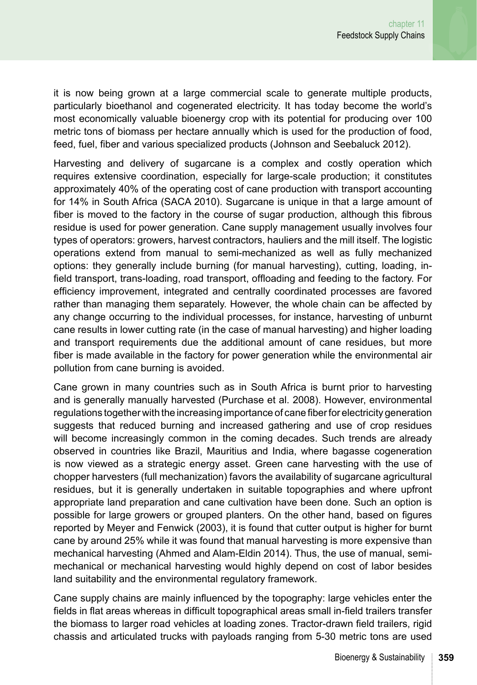it is now being grown at a large commercial scale to generate multiple products, particularly bioethanol and cogenerated electricity. It has today become the world's most economically valuable bioenergy crop with its potential for producing over 100 metric tons of biomass per hectare annually which is used for the production of food, feed, fuel, fiber and various specialized products (Johnson and Seebaluck 2012).

Harvesting and delivery of sugarcane is a complex and costly operation which requires extensive coordination, especially for large-scale production; it constitutes approximately 40% of the operating cost of cane production with transport accounting for 14% in South Africa (SACA 2010). Sugarcane is unique in that a large amount of fiber is moved to the factory in the course of sugar production, although this fibrous residue is used for power generation. Cane supply management usually involves four types of operators: growers, harvest contractors, hauliers and the mill itself. The logistic operations extend from manual to semi-mechanized as well as fully mechanized options: they generally include burning (for manual harvesting), cutting, loading, infield transport, trans-loading, road transport, offloading and feeding to the factory. For efficiency improvement, integrated and centrally coordinated processes are favored rather than managing them separately. However, the whole chain can be affected by any change occurring to the individual processes, for instance, harvesting of unburnt cane results in lower cutting rate (in the case of manual harvesting) and higher loading and transport requirements due the additional amount of cane residues, but more fiber is made available in the factory for power generation while the environmental air pollution from cane burning is avoided.

Cane grown in many countries such as in South Africa is burnt prior to harvesting and is generally manually harvested (Purchase et al. 2008). However, environmental regulations together with the increasing importance of cane fiber for electricity generation suggests that reduced burning and increased gathering and use of crop residues will become increasingly common in the coming decades. Such trends are already observed in countries like Brazil, Mauritius and India, where bagasse cogeneration is now viewed as a strategic energy asset. Green cane harvesting with the use of chopper harvesters (full mechanization) favors the availability of sugarcane agricultural residues, but it is generally undertaken in suitable topographies and where upfront appropriate land preparation and cane cultivation have been done. Such an option is possible for large growers or grouped planters. On the other hand, based on figures reported by Meyer and Fenwick (2003), it is found that cutter output is higher for burnt cane by around 25% while it was found that manual harvesting is more expensive than mechanical harvesting (Ahmed and Alam-Eldin 2014). Thus, the use of manual, semimechanical or mechanical harvesting would highly depend on cost of labor besides land suitability and the environmental regulatory framework.

Cane supply chains are mainly influenced by the topography: large vehicles enter the fields in flat areas whereas in difficult topographical areas small in-field trailers transfer the biomass to larger road vehicles at loading zones. Tractor-drawn field trailers, rigid chassis and articulated trucks with payloads ranging from 5-30 metric tons are used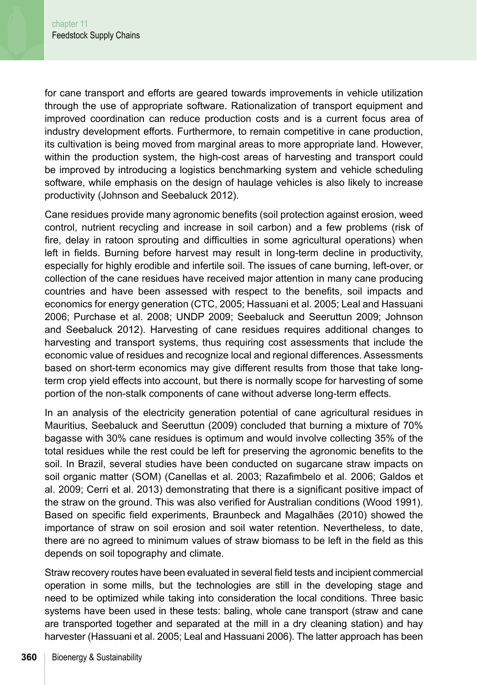for cane transport and efforts are geared towards improvements in vehicle utilization through the use of appropriate software. Rationalization of transport equipment and improved coordination can reduce production costs and is a current focus area of industry development efforts. Furthermore, to remain competitive in cane production, its cultivation is being moved from marginal areas to more appropriate land. However, within the production system, the high-cost areas of harvesting and transport could be improved by introducing a logistics benchmarking system and vehicle scheduling software, while emphasis on the design of haulage vehicles is also likely to increase productivity (Johnson and Seebaluck 2012).

Cane residues provide many agronomic benefits (soil protection against erosion, weed control, nutrient recycling and increase in soil carbon) and a few problems (risk of fire, delay in ratoon sprouting and difficulties in some agricultural operations) when left in fields. Burning before harvest may result in long-term decline in productivity, especially for highly erodible and infertile soil. The issues of cane burning, left-over, or collection of the cane residues have received major attention in many cane producing countries and have been assessed with respect to the benefits, soil impacts and economics for energy generation (CTC, 2005; Hassuani et al. 2005; Leal and Hassuani 2006; Purchase et al. 2008; UNDP 2009; Seebaluck and Seeruttun 2009; Johnson and Seebaluck 2012). Harvesting of cane residues requires additional changes to harvesting and transport systems, thus requiring cost assessments that include the economic value of residues and recognize local and regional differences. Assessments based on short-term economics may give different results from those that take longterm crop yield effects into account, but there is normally scope for harvesting of some portion of the non-stalk components of cane without adverse long-term effects.

In an analysis of the electricity generation potential of cane agricultural residues in Mauritius, Seebaluck and Seeruttun (2009) concluded that burning a mixture of 70% bagasse with 30% cane residues is optimum and would involve collecting 35% of the total residues while the rest could be left for preserving the agronomic benefits to the soil. In Brazil, several studies have been conducted on sugarcane straw impacts on soil organic matter (SOM) (Canellas et al. 2003; Razafimbelo et al. 2006; Galdos et al. 2009; Cerri et al. 2013) demonstrating that there is a significant positive impact of the straw on the ground. This was also verified for Australian conditions (Wood 1991). Based on specific field experiments, Braunbeck and Magalhães (2010) showed the importance of straw on soil erosion and soil water retention. Nevertheless, to date, there are no agreed to minimum values of straw biomass to be left in the field as this depends on soil topography and climate.

Straw recovery routes have been evaluated in several field tests and incipient commercial operation in some mills, but the technologies are still in the developing stage and need to be optimized while taking into consideration the local conditions. Three basic systems have been used in these tests: baling, whole cane transport (straw and cane are transported together and separated at the mill in a dry cleaning station) and hay harvester (Hassuani et al. 2005; Leal and Hassuani 2006). The latter approach has been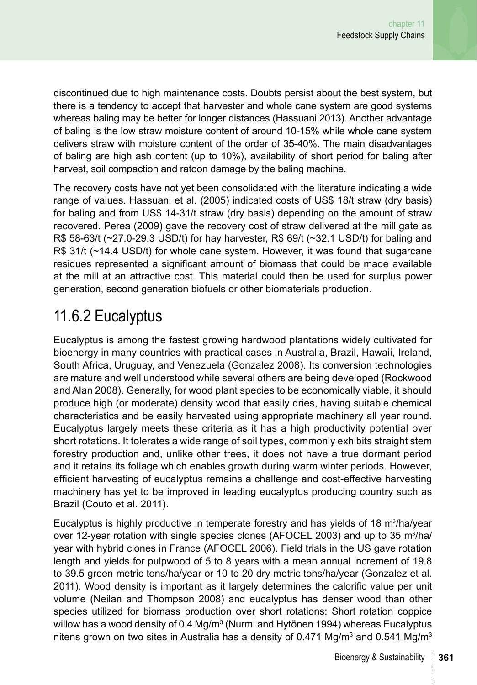discontinued due to high maintenance costs. Doubts persist about the best system, but there is a tendency to accept that harvester and whole cane system are good systems whereas baling may be better for longer distances (Hassuani 2013). Another advantage of baling is the low straw moisture content of around 10-15% while whole cane system delivers straw with moisture content of the order of 35-40%. The main disadvantages of baling are high ash content (up to 10%), availability of short period for baling after harvest, soil compaction and ratoon damage by the baling machine.

The recovery costs have not yet been consolidated with the literature indicating a wide range of values. Hassuani et al. (2005) indicated costs of US\$ 18/t straw (dry basis) for baling and from US\$ 14-31/t straw (dry basis) depending on the amount of straw recovered. Perea (2009) gave the recovery cost of straw delivered at the mill gate as R\$ 58-63/t  $\left(\frac{27.0}{29.3}$  USD/t) for hay harvester, R\$ 69/t  $\left(\frac{23.1}{21}\right)$  for baling and R\$ 31/t (~14.4 USD/t) for whole cane system. However, it was found that sugarcane residues represented a significant amount of biomass that could be made available at the mill at an attractive cost. This material could then be used for surplus power generation, second generation biofuels or other biomaterials production.

### 11.6.2 Eucalyptus

Eucalyptus is among the fastest growing hardwood plantations widely cultivated for bioenergy in many countries with practical cases in Australia, Brazil, Hawaii, Ireland, South Africa, Uruguay, and Venezuela (Gonzalez 2008). Its conversion technologies are mature and well understood while several others are being developed (Rockwood and Alan 2008). Generally, for wood plant species to be economically viable, it should produce high (or moderate) density wood that easily dries, having suitable chemical characteristics and be easily harvested using appropriate machinery all year round. Eucalyptus largely meets these criteria as it has a high productivity potential over short rotations. It tolerates a wide range of soil types, commonly exhibits straight stem forestry production and, unlike other trees, it does not have a true dormant period and it retains its foliage which enables growth during warm winter periods. However, efficient harvesting of eucalyptus remains a challenge and cost-effective harvesting machinery has yet to be improved in leading eucalyptus producing country such as Brazil (Couto et al. 2011).

Eucalyptus is highly productive in temperate forestry and has yields of 18 m<sup>3</sup>/ha/year over 12-year rotation with single species clones (AFOCEL 2003) and up to 35 m<sup>3</sup>/ha/ year with hybrid clones in France (AFOCEL 2006). Field trials in the US gave rotation length and yields for pulpwood of 5 to 8 years with a mean annual increment of 19.8 to 39.5 green metric tons/ha/year or 10 to 20 dry metric tons/ha/year (Gonzalez et al. 2011). Wood density is important as it largely determines the calorific value per unit volume (Neilan and Thompson 2008) and eucalyptus has denser wood than other species utilized for biomass production over short rotations: Short rotation coppice willow has a wood density of 0.4 Mg/m<sup>3</sup> (Nurmi and Hytönen 1994) whereas Eucalyptus nitens grown on two sites in Australia has a density of 0.471 Mg/m<sup>3</sup> and 0.541 Mg/m<sup>3</sup>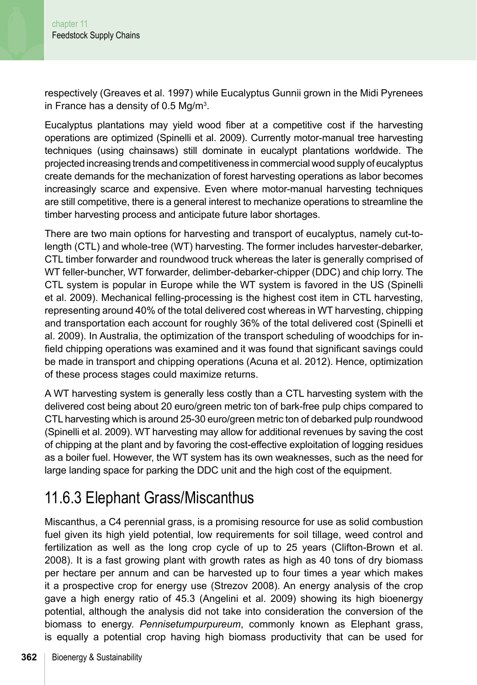respectively (Greaves et al. 1997) while Eucalyptus Gunnii grown in the Midi Pyrenees in France has a density of 0.5 Mg/m<sup>3</sup>.

Eucalyptus plantations may yield wood fiber at a competitive cost if the harvesting operations are optimized (Spinelli et al. 2009). Currently motor-manual tree harvesting techniques (using chainsaws) still dominate in eucalypt plantations worldwide. The projected increasing trends and competitiveness in commercial wood supply of eucalyptus create demands for the mechanization of forest harvesting operations as labor becomes increasingly scarce and expensive. Even where motor-manual harvesting techniques are still competitive, there is a general interest to mechanize operations to streamline the timber harvesting process and anticipate future labor shortages.

There are two main options for harvesting and transport of eucalyptus, namely cut-tolength (CTL) and whole-tree (WT) harvesting. The former includes harvester-debarker, CTL timber forwarder and roundwood truck whereas the later is generally comprised of WT feller-buncher, WT forwarder, delimber-debarker-chipper (DDC) and chip lorry. The CTL system is popular in Europe while the WT system is favored in the US (Spinelli et al. 2009). Mechanical felling-processing is the highest cost item in CTL harvesting, representing around 40% of the total delivered cost whereas in WT harvesting, chipping and transportation each account for roughly 36% of the total delivered cost (Spinelli et al. 2009). In Australia, the optimization of the transport scheduling of woodchips for infield chipping operations was examined and it was found that significant savings could be made in transport and chipping operations (Acuna et al. 2012). Hence, optimization of these process stages could maximize returns.

A WT harvesting system is generally less costly than a CTL harvesting system with the delivered cost being about 20 euro/green metric ton of bark-free pulp chips compared to CTL harvesting which is around 25-30 euro/green metric ton of debarked pulp roundwood (Spinelli et al. 2009). WT harvesting may allow for additional revenues by saving the cost of chipping at the plant and by favoring the cost-effective exploitation of logging residues as a boiler fuel. However, the WT system has its own weaknesses, such as the need for large landing space for parking the DDC unit and the high cost of the equipment.

### 11.6.3 Elephant Grass/Miscanthus

Miscanthus, a C4 perennial grass, is a promising resource for use as solid combustion fuel given its high yield potential, low requirements for soil tillage, weed control and fertilization as well as the long crop cycle of up to 25 years (Clifton-Brown et al. 2008). It is a fast growing plant with growth rates as high as 40 tons of dry biomass per hectare per annum and can be harvested up to four times a year which makes it a prospective crop for energy use (Strezov 2008). An energy analysis of the crop gave a high energy ratio of 45.3 (Angelini et al. 2009) showing its high bioenergy potential, although the analysis did not take into consideration the conversion of the biomass to energy. *Pennisetumpurpureum*, commonly known as Elephant grass, is equally a potential crop having high biomass productivity that can be used for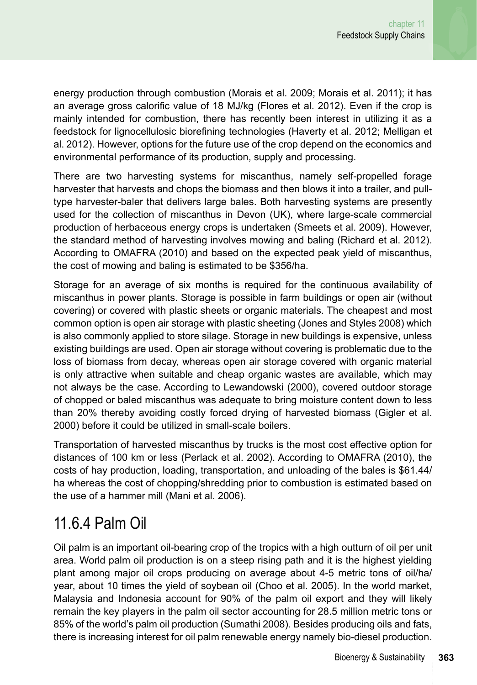energy production through combustion (Morais et al. 2009; Morais et al. 2011); it has an average gross calorific value of 18 MJ/kg (Flores et al. 2012). Even if the crop is mainly intended for combustion, there has recently been interest in utilizing it as a feedstock for lignocellulosic biorefining technologies (Haverty et al. 2012; Melligan et al. 2012). However, options for the future use of the crop depend on the economics and environmental performance of its production, supply and processing.

There are two harvesting systems for miscanthus, namely self-propelled forage harvester that harvests and chops the biomass and then blows it into a trailer, and pulltype harvester-baler that delivers large bales. Both harvesting systems are presently used for the collection of miscanthus in Devon (UK), where large-scale commercial production of herbaceous energy crops is undertaken (Smeets et al. 2009). However, the standard method of harvesting involves mowing and baling (Richard et al. 2012). According to OMAFRA (2010) and based on the expected peak yield of miscanthus, the cost of mowing and baling is estimated to be \$356/ha.

Storage for an average of six months is required for the continuous availability of miscanthus in power plants. Storage is possible in farm buildings or open air (without covering) or covered with plastic sheets or organic materials. The cheapest and most common option is open air storage with plastic sheeting (Jones and Styles 2008) which is also commonly applied to store silage. Storage in new buildings is expensive, unless existing buildings are used. Open air storage without covering is problematic due to the loss of biomass from decay, whereas open air storage covered with organic material is only attractive when suitable and cheap organic wastes are available, which may not always be the case. According to Lewandowski (2000), covered outdoor storage of chopped or baled miscanthus was adequate to bring moisture content down to less than 20% thereby avoiding costly forced drying of harvested biomass (Gigler et al. 2000) before it could be utilized in small-scale boilers.

Transportation of harvested miscanthus by trucks is the most cost effective option for distances of 100 km or less (Perlack et al. 2002). According to OMAFRA (2010), the costs of hay production, loading, transportation, and unloading of the bales is \$61.44/ ha whereas the cost of chopping/shredding prior to combustion is estimated based on the use of a hammer mill (Mani et al. 2006).

#### 11.6.4 Palm Oil

Oil palm is an important oil-bearing crop of the tropics with a high outturn of oil per unit area. World palm oil production is on a steep rising path and it is the highest yielding plant among major oil crops producing on average about 4-5 metric tons of oil/ha/ year, about 10 times the yield of soybean oil (Choo et al. 2005). In the world market, Malaysia and Indonesia account for 90% of the palm oil export and they will likely remain the key players in the palm oil sector accounting for 28.5 million metric tons or 85% of the world's palm oil production (Sumathi 2008). Besides producing oils and fats, there is increasing interest for oil palm renewable energy namely bio-diesel production.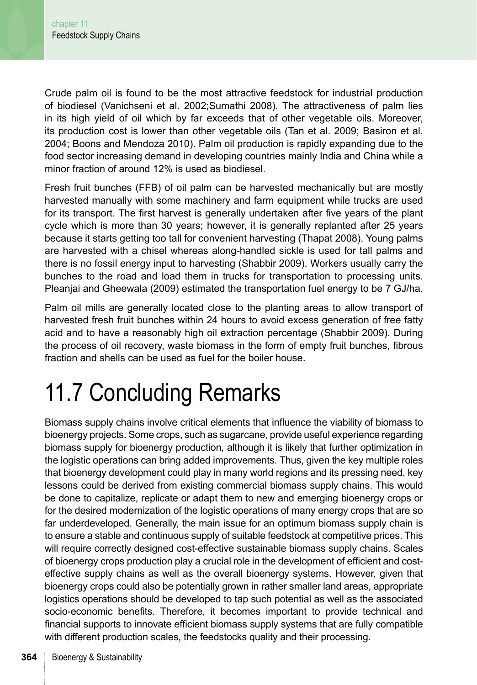Crude palm oil is found to be the most attractive feedstock for industrial production of biodiesel (Vanichseni et al. 2002;Sumathi 2008). The attractiveness of palm lies in its high yield of oil which by far exceeds that of other vegetable oils. Moreover, its production cost is lower than other vegetable oils (Tan et al. 2009; Basiron et al. 2004; Boons and Mendoza 2010). Palm oil production is rapidly expanding due to the food sector increasing demand in developing countries mainly India and China while a minor fraction of around 12% is used as biodiesel.

Fresh fruit bunches (FFB) of oil palm can be harvested mechanically but are mostly harvested manually with some machinery and farm equipment while trucks are used for its transport. The first harvest is generally undertaken after five years of the plant cycle which is more than 30 years; however, it is generally replanted after 25 years because it starts getting too tall for convenient harvesting (Thapat 2008). Young palms are harvested with a chisel whereas along-handled sickle is used for tall palms and there is no fossil energy input to harvesting (Shabbir 2009). Workers usually carry the bunches to the road and load them in trucks for transportation to processing units. Pleanjai and Gheewala (2009) estimated the transportation fuel energy to be 7 GJ/ha.

Palm oil mills are generally located close to the planting areas to allow transport of harvested fresh fruit bunches within 24 hours to avoid excess generation of free fatty acid and to have a reasonably high oil extraction percentage (Shabbir 2009). During the process of oil recovery, waste biomass in the form of empty fruit bunches, fibrous fraction and shells can be used as fuel for the boiler house.

# 11.7 Concluding Remarks

Biomass supply chains involve critical elements that influence the viability of biomass to bioenergy projects. Some crops, such as sugarcane, provide useful experience regarding biomass supply for bioenergy production, although it is likely that further optimization in the logistic operations can bring added improvements. Thus, given the key multiple roles that bioenergy development could play in many world regions and its pressing need, key lessons could be derived from existing commercial biomass supply chains. This would be done to capitalize, replicate or adapt them to new and emerging bioenergy crops or for the desired modernization of the logistic operations of many energy crops that are so far underdeveloped. Generally, the main issue for an optimum biomass supply chain is to ensure a stable and continuous supply of suitable feedstock at competitive prices. This will require correctly designed cost-effective sustainable biomass supply chains. Scales of bioenergy crops production play a crucial role in the development of efficient and costeffective supply chains as well as the overall bioenergy systems. However, given that bioenergy crops could also be potentially grown in rather smaller land areas, appropriate logistics operations should be developed to tap such potential as well as the associated socio-economic benefits. Therefore, it becomes important to provide technical and financial supports to innovate efficient biomass supply systems that are fully compatible with different production scales, the feedstocks quality and their processing.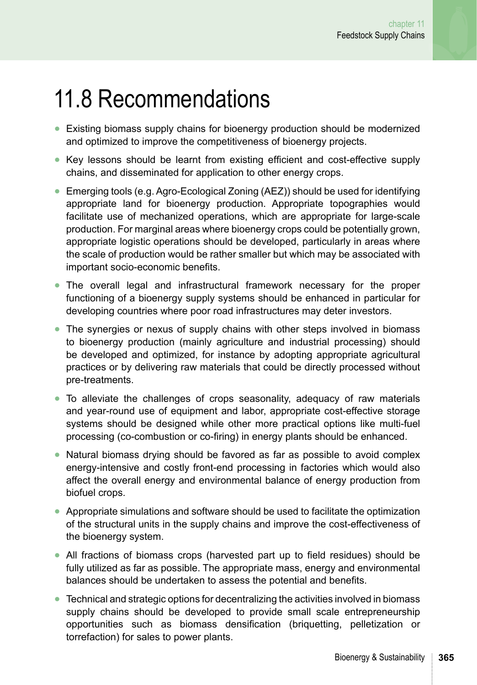### 11.8 Recommendations

- **●** Existing biomass supply chains for bioenergy production should be modernized and optimized to improve the competitiveness of bioenergy projects.
- **●** Key lessons should be learnt from existing efficient and cost-effective supply chains, and disseminated for application to other energy crops.
- **●** Emerging tools (e.g. Agro-Ecological Zoning (AEZ)) should be used for identifying appropriate land for bioenergy production. Appropriate topographies would facilitate use of mechanized operations, which are appropriate for large-scale production. For marginal areas where bioenergy crops could be potentially grown, appropriate logistic operations should be developed, particularly in areas where the scale of production would be rather smaller but which may be associated with important socio-economic benefits.
- **●** The overall legal and infrastructural framework necessary for the proper functioning of a bioenergy supply systems should be enhanced in particular for developing countries where poor road infrastructures may deter investors.
- **●** The synergies or nexus of supply chains with other steps involved in biomass to bioenergy production (mainly agriculture and industrial processing) should be developed and optimized, for instance by adopting appropriate agricultural practices or by delivering raw materials that could be directly processed without pre-treatments.
- **●** To alleviate the challenges of crops seasonality, adequacy of raw materials and year-round use of equipment and labor, appropriate cost-effective storage systems should be designed while other more practical options like multi-fuel processing (co-combustion or co-firing) in energy plants should be enhanced.
- **●** Natural biomass drying should be favored as far as possible to avoid complex energy-intensive and costly front-end processing in factories which would also affect the overall energy and environmental balance of energy production from biofuel crops.
- Appropriate simulations and software should be used to facilitate the optimization of the structural units in the supply chains and improve the cost-effectiveness of the bioenergy system.
- **●** All fractions of biomass crops (harvested part up to field residues) should be fully utilized as far as possible. The appropriate mass, energy and environmental balances should be undertaken to assess the potential and benefits.
- **●** Technical and strategic options for decentralizing the activities involved in biomass supply chains should be developed to provide small scale entrepreneurship opportunities such as biomass densification (briquetting, pelletization or torrefaction) for sales to power plants.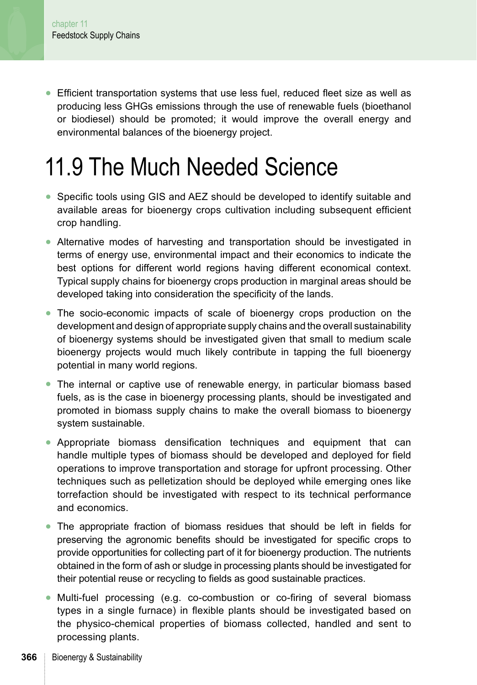**●** Efficient transportation systems that use less fuel, reduced fleet size as well as producing less GHGs emissions through the use of renewable fuels (bioethanol or biodiesel) should be promoted; it would improve the overall energy and environmental balances of the bioenergy project.

# 11.9 The Much Needed Science

- **●** Specific tools using GIS and AEZ should be developed to identify suitable and available areas for bioenergy crops cultivation including subsequent efficient crop handling.
- **●** Alternative modes of harvesting and transportation should be investigated in terms of energy use, environmental impact and their economics to indicate the best options for different world regions having different economical context. Typical supply chains for bioenergy crops production in marginal areas should be developed taking into consideration the specificity of the lands.
- **●** The socio-economic impacts of scale of bioenergy crops production on the development and design of appropriate supply chains and the overall sustainability of bioenergy systems should be investigated given that small to medium scale bioenergy projects would much likely contribute in tapping the full bioenergy potential in many world regions.
- **●** The internal or captive use of renewable energy, in particular biomass based fuels, as is the case in bioenergy processing plants, should be investigated and promoted in biomass supply chains to make the overall biomass to bioenergy system sustainable.
- **●** Appropriate biomass densification techniques and equipment that can handle multiple types of biomass should be developed and deployed for field operations to improve transportation and storage for upfront processing. Other techniques such as pelletization should be deployed while emerging ones like torrefaction should be investigated with respect to its technical performance and economics.
- **●** The appropriate fraction of biomass residues that should be left in fields for preserving the agronomic benefits should be investigated for specific crops to provide opportunities for collecting part of it for bioenergy production. The nutrients obtained in the form of ash or sludge in processing plants should be investigated for their potential reuse or recycling to fields as good sustainable practices.
- **●** Multi-fuel processing (e.g. co-combustion or co-firing of several biomass types in a single furnace) in flexible plants should be investigated based on the physico-chemical properties of biomass collected, handled and sent to processing plants.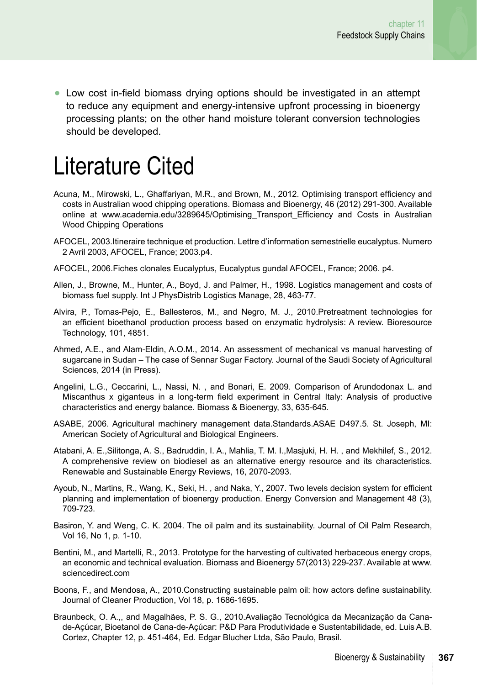**●** Low cost in-field biomass drying options should be investigated in an attempt to reduce any equipment and energy-intensive upfront processing in bioenergy processing plants; on the other hand moisture tolerant conversion technologies should be developed.

### Literature Cited

- Acuna, M., Mirowski, L., Ghaffariyan, M.R., and Brown, M., 2012. Optimising transport efficiency and costs in Australian wood chipping operations. Biomass and Bioenergy, 46 (2012) 291-300. Available online at [www.academia.edu/3289645/Optimising\\_Transport\\_Efficiency and Costs in Australian](www.academia.edu/3289645/Optimising_Transport_Efficiency%20and%20Costs%20in%20Australian%20Wood%20Chipping%20Operations%0D) [Wood Chipping Operations](www.academia.edu/3289645/Optimising_Transport_Efficiency%20and%20Costs%20in%20Australian%20Wood%20Chipping%20Operations%0D)
- AFOCEL, 2003.Itineraire technique et production. Lettre d'information semestrielle eucalyptus. Numero 2 Avril 2003, AFOCEL, France; 2003.p4.
- AFOCEL, 2006.Fiches clonales Eucalyptus, Eucalyptus gundal AFOCEL, France; 2006. p4.
- Allen, J., Browne, M., Hunter, A., Boyd, J. and Palmer, H., 1998. Logistics management and costs of biomass fuel supply. Int J PhysDistrib Logistics Manage, 28, 463-77.
- Alvira, P., Tomas-Pejo, E., Ballesteros, M., and Negro, M. J., 2010.Pretreatment technologies for an efficient bioethanol production process based on enzymatic hydrolysis: A review. Bioresource Technology, 101, 4851.
- Ahmed, A.E., and Alam-Eldin, A.O.M., 2014. An assessment of mechanical vs manual harvesting of sugarcane in Sudan – The case of Sennar Sugar Factory. Journal of the Saudi Society of Agricultural Sciences, 2014 (in Press).
- Angelini, L.G., Ceccarini, L., Nassi, N. , and Bonari, E. 2009. Comparison of Arundodonax L. and Miscanthus x giganteus in a long-term field experiment in Central Italy: Analysis of productive characteristics and energy balance. Biomass & Bioenergy, 33, 635-645.
- ASABE, 2006. Agricultural machinery management data.Standards.ASAE D497.5. St. Joseph, MI: American Society of Agricultural and Biological Engineers.
- Atabani, A. E.,Silitonga, A. S., Badruddin, I. A., Mahlia, T. M. I.,Masjuki, H. H. , and Mekhilef, S., 2012. A comprehensive review on biodiesel as an alternative energy resource and its characteristics. Renewable and Sustainable Energy Reviews, 16, 2070-2093.
- Ayoub, N., Martins, R., Wang, K., Seki, H. , and Naka, Y., 2007. Two levels decision system for efficient planning and implementation of bioenergy production. Energy Conversion and Management 48 (3), 709-723.
- Basiron, Y. and Weng, C. K. 2004. The oil palm and its sustainability. Journal of Oil Palm Research, Vol 16, No 1, p. 1-10.
- Bentini, M., and Martelli, R., 2013. Prototype for the harvesting of cultivated herbaceous energy crops, an economic and technical evaluation. Biomass and Bioenergy 57(2013) 229-237. Available at [www.](www.sciencedirect.com%20%0D) [sciencedirect.com](www.sciencedirect.com%20%0D)
- Boons, F., and Mendosa, A., 2010.Constructing sustainable palm oil: how actors define sustainability. Journal of Cleaner Production, Vol 18, p. 1686-1695.
- Braunbeck, O. A.,, and Magalhães, P. S. G., 2010.Avaliação Tecnológica da Mecanização da Canade-Açúcar, Bioetanol de Cana-de-Açúcar: P&D Para Produtividade e Sustentabilidade, ed. Luis A.B. Cortez, Chapter 12, p. 451-464, Ed. Edgar Blucher Ltda, São Paulo, Brasil.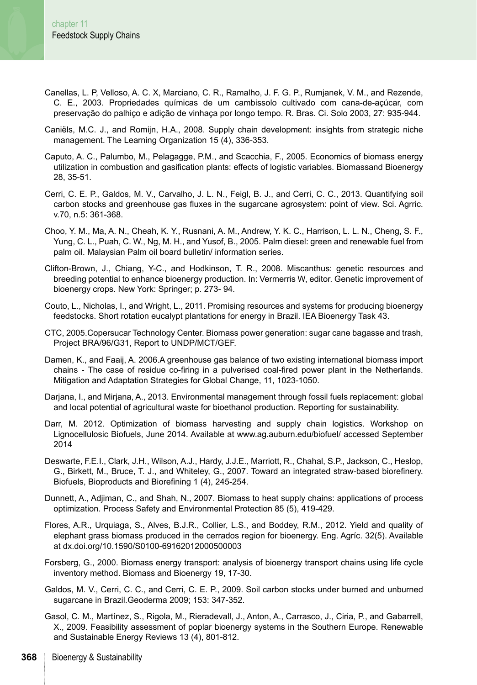- Canellas, L. P, Velloso, A. C. X, Marciano, C. R., Ramalho, J. F. G. P., Rumjanek, V. M., and Rezende, C. E., 2003. Propriedades químicas de um cambissolo cultivado com cana-de-açúcar, com preservação do palhiço e adição de vinhaça por longo tempo. R. Bras. Ci. Solo 2003, 27: 935-944.
- Caniëls, M.C. J., and Romijn, H.A., 2008. Supply chain development: insights from strategic niche management. The Learning Organization 15 (4), 336-353.
- Caputo, A. C., Palumbo, M., Pelagagge, P.M., and Scacchia, F., 2005. Economics of biomass energy utilization in combustion and gasification plants: effects of logistic variables. Biomassand Bioenergy 28, 35-51.
- Cerri, C. E. P., Galdos, M. V., Carvalho, J. L. N., Feigl, B. J., and Cerri, C. C., 2013. Quantifying soil carbon stocks and greenhouse gas fluxes in the sugarcane agrosystem: point of view. Sci. Agrric. v.70, n.5: 361-368.
- Choo, Y. M., Ma, A. N., Cheah, K. Y., Rusnani, A. M., Andrew, Y. K. C., Harrison, L. L. N., Cheng, S. F., Yung, C. L., Puah, C. W., Ng, M. H., and Yusof, B., 2005. Palm diesel: green and renewable fuel from palm oil. Malaysian Palm oil board bulletin/ information series.
- Clifton-Brown, J., Chiang, Y-C., and Hodkinson, T. R., 2008. Miscanthus: genetic resources and breeding potential to enhance bioenergy production. In: Vermerris W, editor. Genetic improvement of bioenergy crops. New York: Springer; p. 273- 94.
- Couto, L., Nicholas, I., and Wright, L., 2011. Promising resources and systems for producing bioenergy feedstocks. Short rotation eucalypt plantations for energy in Brazil. IEA Bioenergy Task 43.
- CTC, 2005.Copersucar Technology Center. Biomass power generation: sugar cane bagasse and trash, Project BRA/96/G31, Report to UNDP/MCT/GEF.
- Damen, K., and Faaij, A. 2006.A greenhouse gas balance of two existing international biomass import chains - The case of residue co-firing in a pulverised coal-fired power plant in the Netherlands. Mitigation and Adaptation Strategies for Global Change, 11, 1023-1050.
- Darjana, I., and Mirjana, A., 2013. Environmental management through fossil fuels replacement: global and local potential of agricultural waste for bioethanol production. Reporting for sustainability.
- Darr, M. 2012. Optimization of biomass harvesting and supply chain logistics. Workshop on Lignocellulosic Biofuels, June 2014. Available at <www.ag.auburn.edu/biofuel/> accessed September 2014
- Deswarte, F.E.I., Clark, J.H., Wilson, A.J., Hardy, J.J.E., Marriott, R., Chahal, S.P., Jackson, C., Heslop, G., Birkett, M., Bruce, T. J., and Whiteley, G., 2007. Toward an integrated straw-based biorefinery. Biofuels, Bioproducts and Biorefining 1 (4), 245-254.
- Dunnett, A., Adjiman, C., and Shah, N., 2007. Biomass to heat supply chains: applications of process optimization. Process Safety and Environmental Protection 85 (5), 419-429.
- Flores, A.R., Urquiaga, S., Alves, B.J.R., Collier, L.S., and Boddey, R.M., 2012. Yield and quality of elephant grass biomass produced in the cerrados region for bioenergy. Eng. Agríc. 32(5). Available at dx.doi.org/10.1590/S0100-69162012000500003
- Forsberg, G., 2000. Biomass energy transport: analysis of bioenergy transport chains using life cycle inventory method. Biomass and Bioenergy 19, 17-30.
- Galdos, M. V., Cerri, C. C., and Cerri, C. E. P., 2009. Soil carbon stocks under burned and unburned sugarcane in Brazil.Geoderma 2009; 153: 347-352.
- Gasol, C. M., Martínez, S., Rigola, M., Rieradevall, J., Anton, A., Carrasco, J., Ciria, P., and Gabarrell, X., 2009. Feasibility assessment of poplar bioenergy systems in the Southern Europe. Renewable and Sustainable Energy Reviews 13 (4), 801-812.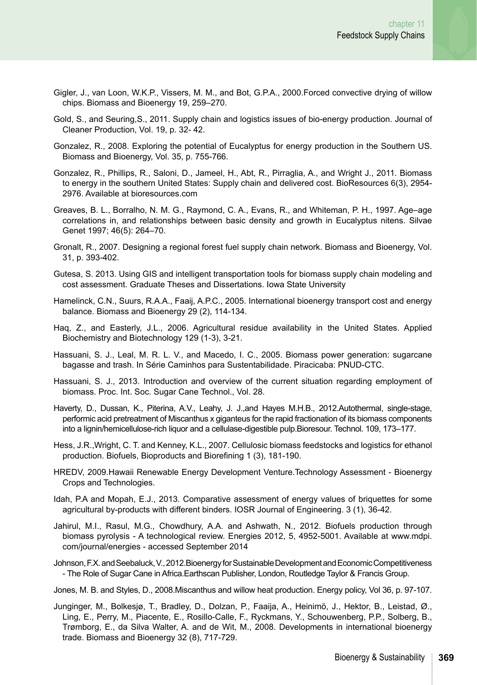- Gigler, J., van Loon, W.K.P., Vissers, M. M., and Bot, G.P.A., 2000.Forced convective drying of willow chips. Biomass and Bioenergy 19, 259–270.
- Gold, S., and Seuring,S., 2011. Supply chain and logistics issues of bio-energy production. Journal of Cleaner Production, Vol. 19, p. 32- 42.
- Gonzalez, R., 2008. Exploring the potential of Eucalyptus for energy production in the Southern US. Biomass and Bioenergy, Vol. 35, p. 755-766.
- Gonzalez, R., Phillips, R., Saloni, D., Jameel, H., Abt, R., Pirraglia, A., and Wright J., 2011. Biomass to energy in the southern United States: Supply chain and delivered cost. BioResources 6(3), 2954- 2976. Available at bioresources.com
- Greaves, B. L., Borralho, N. M. G., Raymond, C. A., Evans, R., and Whiteman, P. H., 1997. Age–age correlations in, and relationships between basic density and growth in Eucalyptus nitens. Silvae Genet 1997; 46(5): 264–70.
- Gronalt, R., 2007. Designing a regional forest fuel supply chain network. Biomass and Bioenergy, Vol. 31, p. 393-402.
- Gutesa, S. 2013. Using GIS and intelligent transportation tools for biomass supply chain modeling and cost assessment. Graduate Theses and Dissertations. Iowa State University
- Hamelinck, C.N., Suurs, R.A.A., Faaij, A.P.C., 2005. International bioenergy transport cost and energy balance. Biomass and Bioenergy 29 (2), 114-134.
- Haq, Z., and Easterly, J.L., 2006. Agricultural residue availability in the United States. Applied Biochemistry and Biotechnology 129 (1-3), 3-21.
- Hassuani, S. J., Leal, M. R. L. V., and Macedo, I. C., 2005. Biomass power generation: sugarcane bagasse and trash. In Série Caminhos para Sustentabilidade. Piracicaba: PNUD-CTC.
- Hassuani, S. J., 2013. Introduction and overview of the current situation regarding employment of biomass. Proc. Int. Soc. Sugar Cane Technol., Vol. 28.
- Haverty, D., Dussan, K., Piterina, A.V., Leahy, J. J.,and Hayes M.H.B., 2012.Autothermal, single-stage, performic acid pretreatment of Miscanthus x giganteus for the rapid fractionation of its biomass components into a lignin/hemicellulose-rich liquor and a cellulase-digestible pulp.Bioresour. Technol. 109, 173–177.
- Hess, J.R.,Wright, C. T. and Kenney, K.L., 2007. Cellulosic biomass feedstocks and logistics for ethanol production. Biofuels, Bioproducts and Biorefining 1 (3), 181-190.
- HREDV, 2009.Hawaii Renewable Energy Development Venture.Technology Assessment Bioenergy Crops and Technologies.
- Idah, P.A and Mopah, E.J., 2013. Comparative assessment of energy values of briquettes for some agricultural by-products with different binders. IOSR Journal of Engineering. 3 (1), 36-42.
- Jahirul, M.I., Rasul, M.G., Chowdhury, A.A. and Ashwath, N., 2012. Biofuels production through biomass pyrolysis - A technological review. Energies 2012, 5, 4952-5001. Available at [www.mdpi.](www.mdpi.com/journal/energies) [com/journal/energies](www.mdpi.com/journal/energies) - accessed September 2014
- Johnson, F.X. and Seebaluck, V., 2012.Bioenergy for Sustainable Development and Economic Competitiveness - The Role of Sugar Cane in Africa.Earthscan Publisher, London, Routledge Taylor & Francis Group.
- Jones, M. B. and Styles, D., 2008.Miscanthus and willow heat production. Energy policy, Vol 36, p. 97-107.
- Junginger, M., Bolkesjø, T., Bradley, D., Dolzan, P., Faaija, A., Heinimö, J., Hektor, B., Leistad, Ø., Ling, E., Perry, M., Piacente, E., Rosillo-Calle, F., Ryckmans, Y., Schouwenberg, P.P., Solberg, B., Trømborg, E., da Silva Walter, A. and de Wit, M., 2008. Developments in international bioenergy trade. Biomass and Bioenergy 32 (8), 717-729.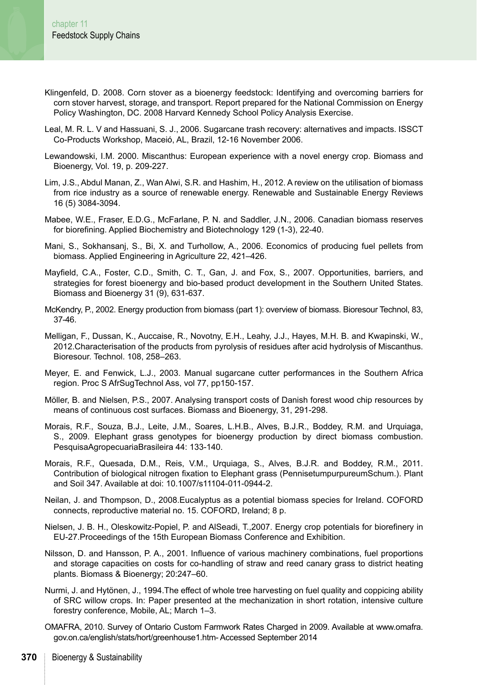- Klingenfeld, D. 2008. Corn stover as a bioenergy feedstock: Identifying and overcoming barriers for corn stover harvest, storage, and transport. Report prepared for the National Commission on Energy Policy Washington, DC. 2008 Harvard Kennedy School Policy Analysis Exercise.
- Leal, M. R. L. V and Hassuani, S. J., 2006. Sugarcane trash recovery: alternatives and impacts. ISSCT Co-Products Workshop, Maceió, AL, Brazil, 12-16 November 2006.
- Lewandowski, I.M. 2000. Miscanthus: European experience with a novel energy crop. Biomass and Bioenergy, Vol. 19, p. 209-227.
- Lim, J.S., Abdul Manan, Z., Wan Alwi, S.R. and Hashim, H., 2012. A review on the utilisation of biomass from rice industry as a source of renewable energy. Renewable and Sustainable Energy Reviews 16 (5) 3084-3094.
- Mabee, W.E., Fraser, E.D.G., McFarlane, P. N. and Saddler, J.N., 2006. Canadian biomass reserves for biorefining. Applied Biochemistry and Biotechnology 129 (1-3), 22-40.
- Mani, S., Sokhansanj, S., Bi, X. and Turhollow, A., 2006. Economics of producing fuel pellets from biomass. Applied Engineering in Agriculture 22, 421–426.
- Mayfield, C.A., Foster, C.D., Smith, C. T., Gan, J. and Fox, S., 2007. Opportunities, barriers, and strategies for forest bioenergy and bio-based product development in the Southern United States. Biomass and Bioenergy 31 (9), 631-637.
- McKendry, P., 2002. Energy production from biomass (part 1): overview of biomass. Bioresour Technol, 83, 37-46.
- Melligan, F., Dussan, K., Auccaise, R., Novotny, E.H., Leahy, J.J., Hayes, M.H. B. and Kwapinski, W., 2012.Characterisation of the products from pyrolysis of residues after acid hydrolysis of Miscanthus. Bioresour. Technol. 108, 258–263.
- Meyer, E. and Fenwick, L.J., 2003. Manual sugarcane cutter performances in the Southern Africa region. Proc S AfrSugTechnol Ass, vol 77, pp150-157.
- Möller, B. and Nielsen, P.S., 2007. Analysing transport costs of Danish forest wood chip resources by means of continuous cost surfaces. Biomass and Bioenergy, 31, 291-298.
- Morais, R.F., Souza, B.J., Leite, J.M., Soares, L.H.B., Alves, B.J.R., Boddey, R.M. and Urquiaga, S., 2009. Elephant grass genotypes for bioenergy production by direct biomass combustion. PesquisaAgropecuariaBrasileira 44: 133-140.
- Morais, R.F., Quesada, D.M., Reis, V.M., Urquiaga, S., Alves, B.J.R. and Boddey, R.M., 2011. Contribution of biological nitrogen fixation to Elephant grass (PennisetumpurpureumSchum.). Plant and Soil 347. Available at doi: 10.1007/s11104-011-0944-2.
- Neilan, J. and Thompson, D., 2008.Eucalyptus as a potential biomass species for Ireland. COFORD connects, reproductive material no. 15. COFORD, Ireland; 8 p.
- Nielsen, J. B. H., Oleskowitz-Popiel, P. and AlSeadi, T.,2007. Energy crop potentials for biorefinery in EU-27.Proceedings of the 15th European Biomass Conference and Exhibition.
- Nilsson, D. and Hansson, P. A., 2001. Influence of various machinery combinations, fuel proportions and storage capacities on costs for co-handling of straw and reed canary grass to district heating plants. Biomass & Bioenergy; 20:247–60.
- Nurmi, J. and Hytönen, J., 1994.The effect of whole tree harvesting on fuel quality and coppicing ability of SRC willow crops. In: Paper presented at the mechanization in short rotation, intensive culture forestry conference, Mobile, AL; March 1–3.
- OMAFRA, 2010. Survey of Ontario Custom Farmwork Rates Charged in 2009. Available at [www.omafra.](www.omafra.gov.on.ca/english/stats/hort/greenhouse1.htm) [gov.on.ca/english/stats/hort/greenhouse1.htm](www.omafra.gov.on.ca/english/stats/hort/greenhouse1.htm)- Accessed September 2014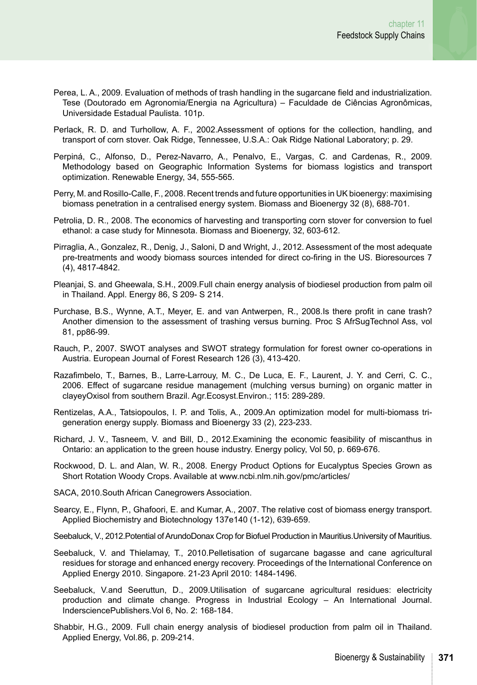- Perea, L. A., 2009. Evaluation of methods of trash handling in the sugarcane field and industrialization. Tese (Doutorado em Agronomia/Energia na Agricultura) – Faculdade de Ciências Agronômicas, Universidade Estadual Paulista. 101p.
- Perlack, R. D. and Turhollow, A. F., 2002.Assessment of options for the collection, handling, and transport of corn stover. Oak Ridge, Tennessee, U.S.A.: Oak Ridge National Laboratory; p. 29.
- Perpiná, C., Alfonso, D., Perez-Navarro, A., Penalvo, E., Vargas, C. and Cardenas, R., 2009. Methodology based on Geographic Information Systems for biomass logistics and transport optimization. Renewable Energy, 34, 555-565.
- Perry, M. and Rosillo-Calle, F., 2008. Recent trends and future opportunities in UK bioenergy: maximising biomass penetration in a centralised energy system. Biomass and Bioenergy 32 (8), 688-701.
- Petrolia, D. R., 2008. The economics of harvesting and transporting corn stover for conversion to fuel ethanol: a case study for Minnesota. Biomass and Bioenergy, 32, 603-612.
- Pirraglia, A., Gonzalez, R., Denig, J., Saloni, D and Wright, J., 2012. Assessment of the most adequate pre-treatments and woody biomass sources intended for direct co-firing in the US. Bioresources 7 (4), 4817-4842.
- Pleanjai, S. and Gheewala, S.H., 2009.Full chain energy analysis of biodiesel production from palm oil in Thailand. Appl. Energy 86, S 209- S 214.
- Purchase, B.S., Wynne, A.T., Meyer, E. and van Antwerpen, R., 2008.Is there profit in cane trash? Another dimension to the assessment of trashing versus burning. Proc S AfrSugTechnol Ass, vol 81, pp86-99.
- Rauch, P., 2007. SWOT analyses and SWOT strategy formulation for forest owner co-operations in Austria. European Journal of Forest Research 126 (3), 413-420.
- Razafimbelo, T., Barnes, B., Larre-Larrouy, M. C., De Luca, E. F., Laurent, J. Y. and Cerri, C. C., 2006. Effect of sugarcane residue management (mulching versus burning) on organic matter in clayeyOxisol from southern Brazil. Agr.Ecosyst.Environ.; 115: 289-289.
- Rentizelas, A.A., Tatsiopoulos, I. P. and Tolis, A., 2009.An optimization model for multi-biomass trigeneration energy supply. Biomass and Bioenergy 33 (2), 223-233.
- Richard, J. V., Tasneem, V. and Bill, D., 2012.Examining the economic feasibility of miscanthus in Ontario: an application to the green house industry. Energy policy, Vol 50, p. 669-676.
- Rockwood, D. L. and Alan, W. R., 2008. Energy Product Options for Eucalyptus Species Grown as Short Rotation Woody Crops. Available at [www.ncbi.nlm.nih.gov/pmc/articles/](www.ncbi.nlm.nih.gov/pmc/articles/%0D)
- SACA, 2010.South African Canegrowers Association.
- Searcy, E., Flynn, P., Ghafoori, E. and Kumar, A., 2007. The relative cost of biomass energy transport. Applied Biochemistry and Biotechnology 137e140 (1-12), 639-659.
- Seebaluck, V., 2012.Potential of ArundoDonax Crop for Biofuel Production in Mauritius.University of Mauritius.
- Seebaluck, V. and Thielamay, T., 2010.Pelletisation of sugarcane bagasse and cane agricultural residues for storage and enhanced energy recovery. Proceedings of the International Conference on Applied Energy 2010. Singapore. 21-23 April 2010: 1484-1496.
- Seebaluck, V.and Seeruttun, D., 2009.Utilisation of sugarcane agricultural residues: electricity production and climate change. Progress in Industrial Ecology – An International Journal. IndersciencePublishers.Vol 6, No. 2: 168-184.
- Shabbir, H.G., 2009. Full chain energy analysis of biodiesel production from palm oil in Thailand. Applied Energy, Vol.86, p. 209-214.